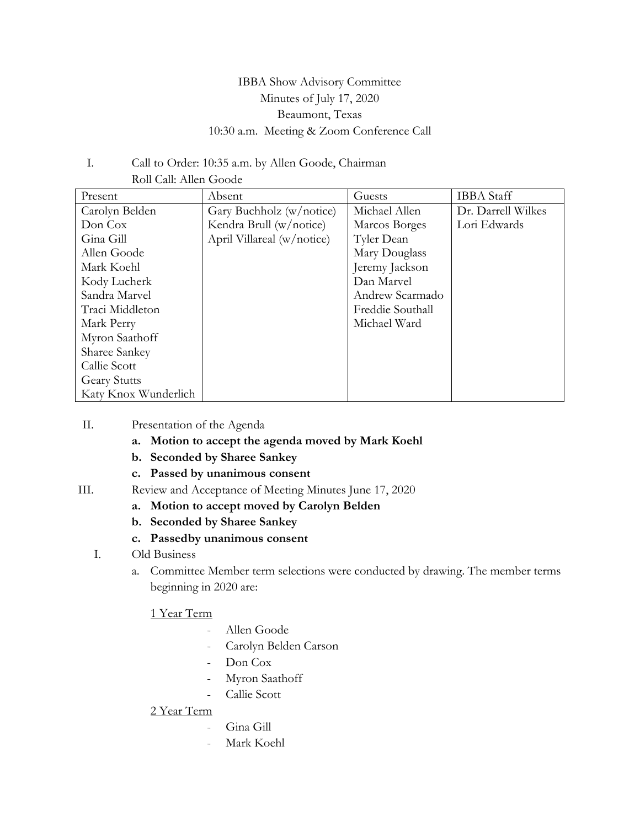# IBBA Show Advisory Committee Minutes of July 17, 2020 Beaumont, Texas 10:30 a.m. Meeting & Zoom Conference Call

#### I. Call to Order: 10:35 a.m. by Allen Goode, Chairman Roll Call: Allen Goode

| Present              | Absent                     | Guests           | <b>IBBA</b> Staff  |
|----------------------|----------------------------|------------------|--------------------|
| Carolyn Belden       | Gary Buchholz (w/notice)   | Michael Allen    | Dr. Darrell Wilkes |
| Don Cox              | Kendra Brull (w/notice)    | Marcos Borges    | Lori Edwards       |
| Gina Gill            | April Villareal (w/notice) | Tyler Dean       |                    |
| Allen Goode          |                            | Mary Douglass    |                    |
| Mark Koehl           |                            | Jeremy Jackson   |                    |
| Kody Lucherk         |                            | Dan Marvel       |                    |
| Sandra Marvel        |                            | Andrew Scarmado  |                    |
| Traci Middleton      |                            | Freddie Southall |                    |
| Mark Perry           |                            | Michael Ward     |                    |
| Myron Saathoff       |                            |                  |                    |
| Sharee Sankey        |                            |                  |                    |
| Callie Scott         |                            |                  |                    |
| <b>Geary Stutts</b>  |                            |                  |                    |
| Katy Knox Wunderlich |                            |                  |                    |

## II. Presentation of the Agenda

- **a. Motion to accept the agenda moved by Mark Koehl**
- **b. Seconded by Sharee Sankey**
- **c. Passed by unanimous consent**
- III. Review and Acceptance of Meeting Minutes June 17, 2020
	- **a. Motion to accept moved by Carolyn Belden**
	- **b. Seconded by Sharee Sankey**
	- **c. Passedby unanimous consent**
	- I. Old Business
		- a. Committee Member term selections were conducted by drawing. The member terms beginning in 2020 are:

#### 1 Year Term

- Allen Goode
- Carolyn Belden Carson
- Don Cox
- Myron Saathoff
- Callie Scott

## 2 Year Term

- Gina Gill
- Mark Koehl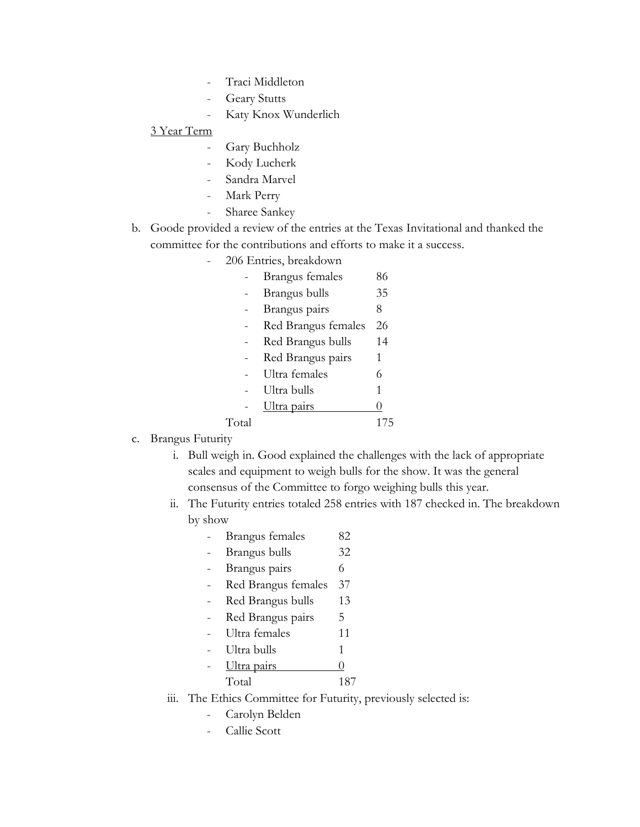- Traci Middleton
- **Geary Stutts**
- Katy Knox Wunderlich

#### 3 Year Term

- Gary Buchholz
- Kody Lucherk
- Sandra Marvel
- Mark Perry
- Sharee Sankey
- b. Goode provided a review of the entries at the Texas Invitational and thanked the committee for the contributions and efforts to make it a success.
	- 206 Entries, breakdown

|       | Brangus females     | 86 |
|-------|---------------------|----|
|       | Brangus bulls       | 35 |
|       | Brangus pairs       | 8  |
|       | Red Brangus females | 26 |
|       | Red Brangus bulls   | 14 |
|       | Red Brangus pairs   | 1  |
|       | Ultra females       | 6  |
|       | Ultra bulls         | 1  |
|       | Ultra pairs         | 0  |
| Total |                     |    |

#### c. Brangus Futurity

- i. Bull weigh in. Good explained the challenges with the lack of appropriate scales and equipment to weigh bulls for the show. It was the general consensus of the Committee to forgo weighing bulls this year.
- ii. The Futurity entries totaled 258 entries with 187 checked in. The breakdown by show
	- Brangus females 82
	- Brangus bulls 32
	- Brangus pairs 6
	- Red Brangus females 37
	- Red Brangus bulls 13
	- Red Brangus pairs 5
	- Ultra females 11
	- Ultra bulls 1
	- $U$ ltra pairs  $\qquad \qquad 0$ Total 187
- iii. The Ethics Committee for Futurity, previously selected is:
	- Carolyn Belden
	- Callie Scott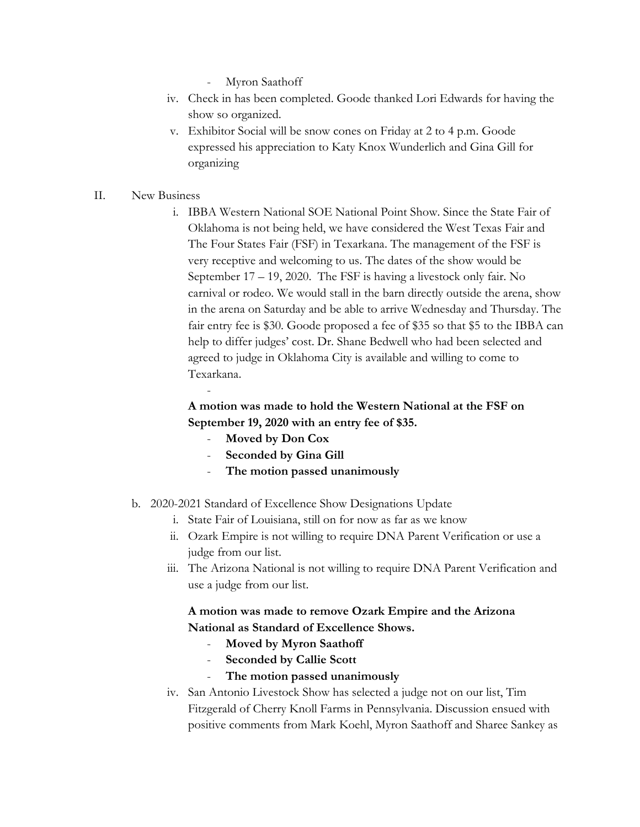- Myron Saathoff
- iv. Check in has been completed. Goode thanked Lori Edwards for having the show so organized.
- v. Exhibitor Social will be snow cones on Friday at 2 to 4 p.m. Goode expressed his appreciation to Katy Knox Wunderlich and Gina Gill for organizing

#### II. New Business

i. IBBA Western National SOE National Point Show. Since the State Fair of Oklahoma is not being held, we have considered the West Texas Fair and The Four States Fair (FSF) in Texarkana. The management of the FSF is very receptive and welcoming to us. The dates of the show would be September 17 – 19, 2020. The FSF is having a livestock only fair. No carnival or rodeo. We would stall in the barn directly outside the arena, show in the arena on Saturday and be able to arrive Wednesday and Thursday. The fair entry fee is \$30. Goode proposed a fee of \$35 so that \$5 to the IBBA can help to differ judges' cost. Dr. Shane Bedwell who had been selected and agreed to judge in Oklahoma City is available and willing to come to Texarkana.

## **A motion was made to hold the Western National at the FSF on September 19, 2020 with an entry fee of \$35.**

- **Moved by Don Cox**

-

- **Seconded by Gina Gill**
- **The motion passed unanimously**
- b. 2020-2021 Standard of Excellence Show Designations Update
	- i. State Fair of Louisiana, still on for now as far as we know
	- ii. Ozark Empire is not willing to require DNA Parent Verification or use a judge from our list.
	- iii. The Arizona National is not willing to require DNA Parent Verification and use a judge from our list.

## **A motion was made to remove Ozark Empire and the Arizona National as Standard of Excellence Shows.**

- **Moved by Myron Saathoff**
- Seconded by Callie Scott
- **The motion passed unanimously**
- iv. San Antonio Livestock Show has selected a judge not on our list, Tim Fitzgerald of Cherry Knoll Farms in Pennsylvania. Discussion ensued with positive comments from Mark Koehl, Myron Saathoff and Sharee Sankey as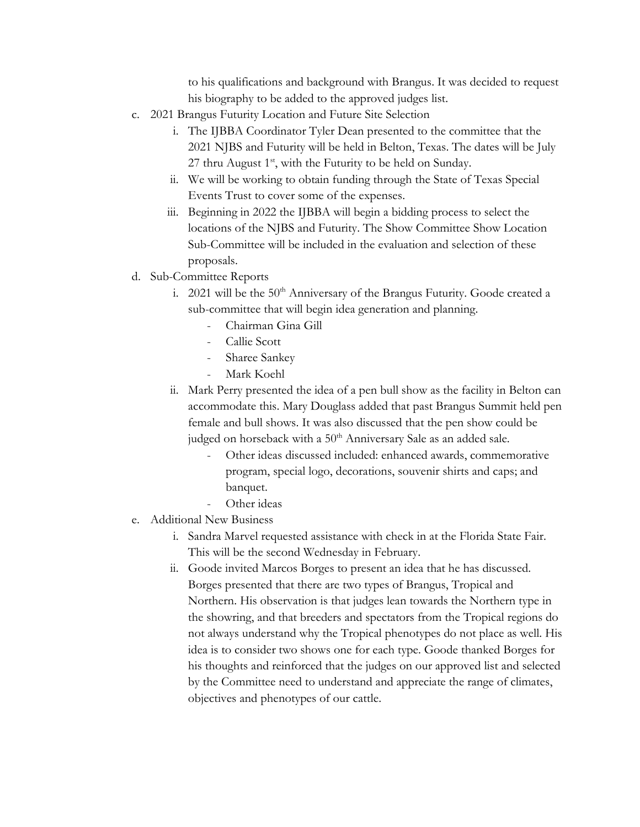to his qualifications and background with Brangus. It was decided to request his biography to be added to the approved judges list.

- c. 2021 Brangus Futurity Location and Future Site Selection
	- i. The IJBBA Coordinator Tyler Dean presented to the committee that the 2021 NJBS and Futurity will be held in Belton, Texas. The dates will be July 27 thru August  $1<sup>st</sup>$ , with the Futurity to be held on Sunday.
	- ii. We will be working to obtain funding through the State of Texas Special Events Trust to cover some of the expenses.
	- iii. Beginning in 2022 the IJBBA will begin a bidding process to select the locations of the NJBS and Futurity. The Show Committee Show Location Sub-Committee will be included in the evaluation and selection of these proposals.
- d. Sub-Committee Reports
	- i. 2021 will be the  $50<sup>th</sup>$  Anniversary of the Brangus Futurity. Goode created a sub-committee that will begin idea generation and planning.
		- Chairman Gina Gill
		- Callie Scott
		- Sharee Sankey
		- Mark Koehl
	- ii. Mark Perry presented the idea of a pen bull show as the facility in Belton can accommodate this. Mary Douglass added that past Brangus Summit held pen female and bull shows. It was also discussed that the pen show could be judged on horseback with a 50<sup>th</sup> Anniversary Sale as an added sale.
		- Other ideas discussed included: enhanced awards, commemorative program, special logo, decorations, souvenir shirts and caps; and banquet.
		- Other ideas
- e. Additional New Business
	- i. Sandra Marvel requested assistance with check in at the Florida State Fair. This will be the second Wednesday in February.
	- ii. Goode invited Marcos Borges to present an idea that he has discussed. Borges presented that there are two types of Brangus, Tropical and Northern. His observation is that judges lean towards the Northern type in the showring, and that breeders and spectators from the Tropical regions do not always understand why the Tropical phenotypes do not place as well. His idea is to consider two shows one for each type. Goode thanked Borges for his thoughts and reinforced that the judges on our approved list and selected by the Committee need to understand and appreciate the range of climates, objectives and phenotypes of our cattle.